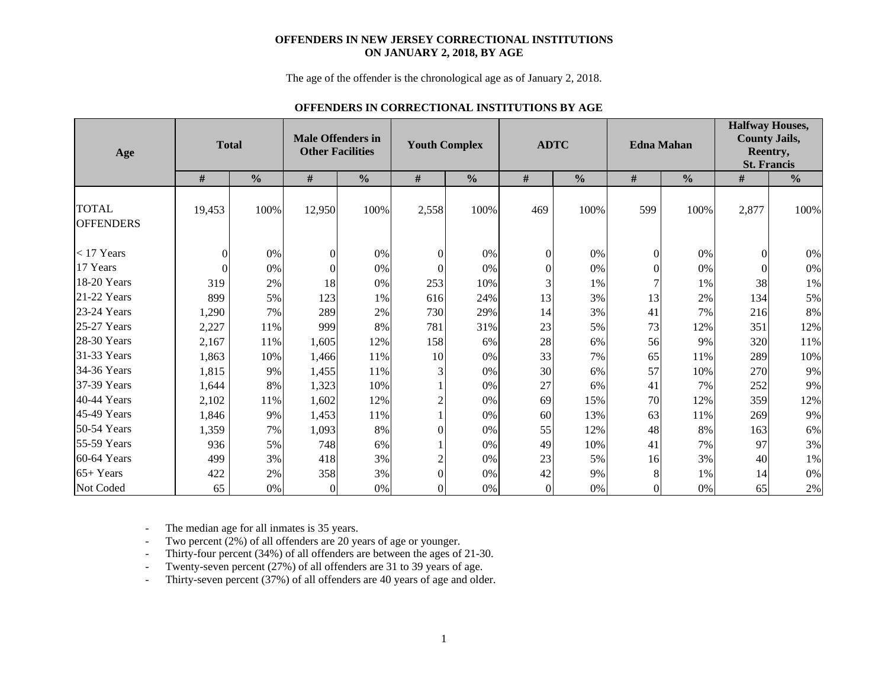#### **OFFENDERS IN NEW JERSEY CORRECTIONAL INSTITUTIONS ON JANUARY 2, 2018, BY AGE**

The age of the offender is the chronological age as of January 2, 2018.

### **OFFENDERS IN CORRECTIONAL INSTITUTIONS BY AGE**

| Age                              |          | <b>Total</b>  | <b>Male Offenders in</b><br><b>Other Facilities</b> |               | <b>Youth Complex</b> |               |                  | <b>ADTC</b>   |                  | <b>Edna Mahan</b> | <b>Halfway Houses,</b><br><b>County Jails,</b><br>Reentry,<br><b>St. Francis</b> |               |  |  |
|----------------------------------|----------|---------------|-----------------------------------------------------|---------------|----------------------|---------------|------------------|---------------|------------------|-------------------|----------------------------------------------------------------------------------|---------------|--|--|
|                                  | $\#$     | $\frac{0}{0}$ | $\#$                                                | $\frac{0}{0}$ | $\#$                 | $\frac{0}{0}$ | $\#$             | $\frac{0}{0}$ | $\#$             | $\frac{0}{0}$     | $\#$                                                                             | $\frac{0}{0}$ |  |  |
| <b>TOTAL</b><br><b>OFFENDERS</b> | 19,453   | 100%          | 12,950                                              | 100%          | 2,558                | 100%          | 469              | 100%          | 599              | 100%              | 2,877                                                                            | 100%          |  |  |
| $<$ 17 Years                     | $\Omega$ | $0\%$         | $\theta$                                            | $0\%$         | $\boldsymbol{0}$     | 0%            | $\boldsymbol{0}$ | 0%            | $\boldsymbol{0}$ | 0%                | $\Omega$                                                                         | $0\%$         |  |  |
| 17 Years                         | $\theta$ | 0%            | $\Omega$                                            | 0%            | $\Omega$             | 0%            | $\theta$         | $0\%$         | $\boldsymbol{0}$ | 0%                | $\Omega$                                                                         | $0\%$         |  |  |
| 18-20 Years                      | 319      | 2%            | 18                                                  | 0%            | 253                  | 10%           | 3                | 1%            | $\overline{7}$   | 1%                | 38                                                                               | 1%            |  |  |
| 21-22 Years                      | 899      | 5%            | 123                                                 | 1%            | 616                  | 24%           | 13               | 3%            | 13               | 2%                | 134                                                                              | 5%            |  |  |
| 23-24 Years                      | 1,290    | 7%            | 289                                                 | 2%            | 730                  | 29%           | 14               | 3%            | 41               | 7%                | 216                                                                              | $8\%$         |  |  |
| 25-27 Years                      | 2,227    | 11%           | 999                                                 | 8%            | 781                  | 31%           | 23               | 5%            | 73               | 12%               | 351                                                                              | 12%           |  |  |
| $28-30$ Years                    | 2,167    | 11%           | 1,605                                               | 12%           | 158                  | 6%            | 28               | 6%            | 56               | 9%                | 320                                                                              | 11%           |  |  |
| 31-33 Years                      | 1,863    | 10%           | 1,466                                               | 11%           | 10                   | 0%            | 33               | 7%            | 65               | 11%               | 289                                                                              | 10%           |  |  |
| 34-36 Years                      | 1,815    | 9%            | 1,455                                               | 11%           | 3                    | 0%            | 30               | 6%            | 57               | 10%               | 270                                                                              | 9%            |  |  |
| 37-39 Years                      | 1,644    | 8%            | 1,323                                               | 10%           |                      | 0%            | 27               | 6%            | 41               | 7%                | 252                                                                              | 9%            |  |  |
| 40-44 Years                      | 2,102    | 11%           | 1,602                                               | 12%           | $\overline{2}$       | 0%            | 69               | 15%           | 70               | 12%               | 359                                                                              | 12%           |  |  |
| 45-49 Years                      | 1,846    | 9%            | 1,453                                               | 11%           |                      | 0%            | 60               | 13%           | 63               | 11%               | 269                                                                              | 9%            |  |  |
| $50-54$ Years                    | 1,359    | 7%            | 1,093                                               | 8%            | 0                    | 0%            | 55               | 12%           | 48               | 8%                | 163                                                                              | 6%            |  |  |
| 55-59 Years                      | 936      | 5%            | 748                                                 | 6%            |                      | 0%            | 49               | 10%           | 41               | 7%                | 97                                                                               | 3%            |  |  |
| $60-64$ Years                    | 499      | 3%            | 418                                                 | 3%            | $\overline{2}$       | 0%            | 23               | 5%            | 16               | 3%                | 40                                                                               | $1\%$         |  |  |
| $65+Years$                       | 422      | 2%            | 358                                                 | 3%            | $\theta$             | 0%            | 42               | 9%            | 8                | 1%                | 14                                                                               | $0\%$         |  |  |
| Not Coded                        | 65       | $0\%$         | $\Omega$                                            | 0%            | $\Omega$             | 0%            | $\Omega$         | 0%            | $\overline{0}$   | 0%                | 65                                                                               | $2\%$         |  |  |

-The median age for all inmates is 35 years.

-Two percent (2%) of all offenders are 20 years of age or younger.

-Thirty-four percent (34%) of all offenders are between the ages of 21-30.

-Twenty-seven percent (27%) of all offenders are 31 to 39 years of age.

-Thirty-seven percent (37%) of all offenders are 40 years of age and older.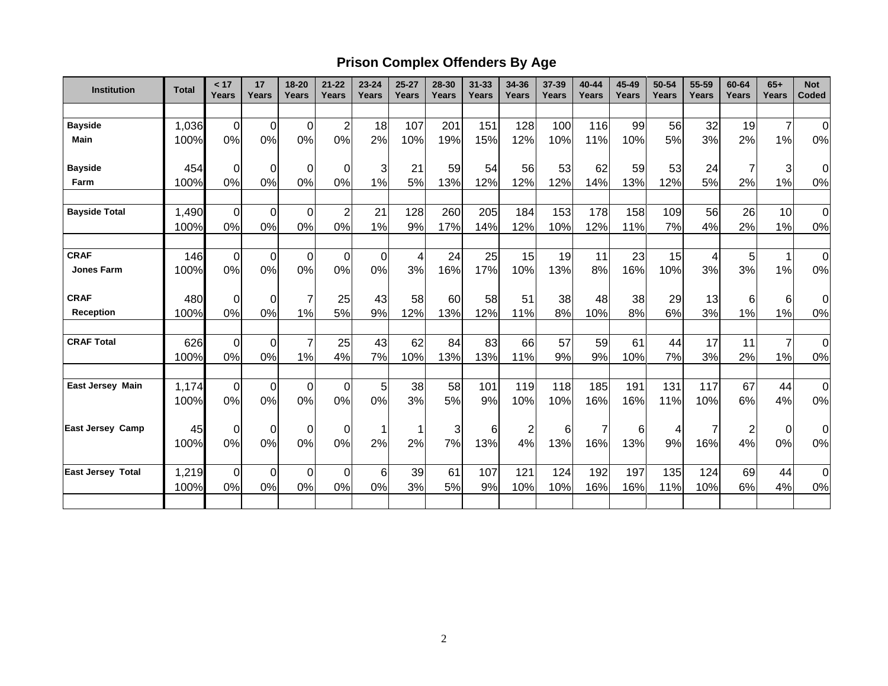# **Prison Complex Offenders By Age**

| <b>Institution</b>       | <b>Total</b> | < 17<br>Years    | 17<br><b>Years</b> | 18-20<br>Years   | $21 - 22$<br>Years | $23 - 24$<br><b>Years</b> | $25 - 27$<br>Years       | 28-30<br>Years | $31 - 33$<br><b>Years</b> | 34-36<br>Years | 37-39<br>Years | 40-44<br>Years | 45-49<br><b>Years</b> | 50-54<br>Years | 55-59<br>Years | 60-64<br>Years | $65+$<br>Years | <b>Not</b><br>Coded |
|--------------------------|--------------|------------------|--------------------|------------------|--------------------|---------------------------|--------------------------|----------------|---------------------------|----------------|----------------|----------------|-----------------------|----------------|----------------|----------------|----------------|---------------------|
|                          |              |                  |                    |                  |                    |                           |                          |                |                           |                |                |                |                       |                |                |                |                |                     |
| <b>Bayside</b>           | 1,036        | $\pmb{0}$        | $\overline{0}$     | $\mathbf 0$      | $\overline{2}$     | 18                        | 107                      | 201            | 151                       | 128            | 100            | 116            | 99                    | 56             | 32             | 19             | $\overline{7}$ | $\mathbf 0$         |
| <b>Main</b>              | 100%         | 0%               | 0%                 | 0%               | 0%                 | 2%                        | 10%                      | 19%            | 15%                       | 12%            | 10%            | 11%            | 10%                   | 5%             | 3%             | 2%             | 1%             | 0%                  |
| <b>Bayside</b>           | 454          | 0                | $\overline{0}$     | $\overline{0}$   | 0                  | 3                         | 21                       | 59             | 54                        | 56             | 53             | 62             | 59                    | 53             | 24             | 7              | 3              | $\Omega$            |
| Farm                     | 100%         | 0%               | 0%                 | 0%               | 0%                 | 1%                        | 5%                       | 13%            | 12%                       | 12%            | 12%            | 14%            | 13%                   | 12%            | 5%             | 2%             | 1%             | 0%                  |
| <b>Bayside Total</b>     | 1,490        | 0                | $\overline{0}$     | $\mathbf 0$      | $\overline{2}$     | 21                        | 128                      | 260            | 205                       | 184            | 153            | 178            | 158                   | 109            | 56             | 26             | 10             | $\mathbf 0$         |
|                          | 100%         | 0%               | 0%                 | 0%               | 0%                 | 1%                        | 9%                       | 17%            | 14%                       | 12%            | 10%            | 12%            | 11%                   | 7%             | 4%             | 2%             | 1%             | 0%                  |
| <b>CRAF</b>              | 146          | $\mathbf 0$      | $\overline{0}$     | $\overline{0}$   | $\mathbf 0$        | $\mathbf 0$               | $\overline{\mathcal{A}}$ | 24             | 25                        | 15             | 19             | 11             | 23                    | 15             | 4              | 5              | 1              | $\mathbf 0$         |
| <b>Jones Farm</b>        | 100%         | 0%               | 0%                 | 0%               | 0%                 | 0%                        | 3%                       | 16%            | 17%                       | 10%            | 13%            | 8%             | 16%                   | 10%            | 3%             | 3%             | 1%             | 0%                  |
| <b>CRAF</b>              | 480          | $\mathbf 0$      | $\overline{0}$     | $\overline{7}$   | 25                 | 43                        | 58                       | 60             | 58                        | 51             | 38             | 48             | 38                    | 29             | 13             | 6              | 6              | 0                   |
| <b>Reception</b>         | 100%         | 0%               | 0%                 | 1%               | 5%                 | 9%                        | 12%                      | 13%            | 12%                       | 11%            | 8%             | 10%            | 8%                    | 6%             | 3%             | 1%             | 1%             | 0%                  |
| <b>CRAF Total</b>        | 626          | $\boldsymbol{0}$ | $\overline{0}$     | $\overline{7}$   | 25                 | 43                        | 62                       | 84             | 83                        | 66             | 57             | 59             | 61                    | 44             | 17             | 11             | $\overline{7}$ | $\mathbf 0$         |
|                          | 100%         | 0%               | 0%                 | 1%               | 4%                 | 7%                        | 10%                      | 13%            | 13%                       | 11%            | 9%             | 9%             | 10%                   | 7%             | 3%             | 2%             | 1%             | 0%                  |
| <b>East Jersey Main</b>  | 1,174        | $\mathbf 0$      | $\overline{0}$     | $\mathbf 0$      | 0                  | 5                         | 38                       | 58             | 101                       | 119            | 118            | 185            | 191                   | 131            | 117            | 67             | 44             | $\mathbf 0$         |
|                          | 100%         | 0%               | 0%                 | 0%               | 0%                 | 0%                        | 3%                       | 5%             | 9%                        | 10%            | 10%            | 16%            | 16%                   | 11%            | 10%            | 6%             | 4%             | 0%                  |
| <b>East Jersey Camp</b>  | 45           | 0                | $\overline{0}$     | $\Omega$         | $\Omega$           | 1                         |                          | 3              | 6                         | $\overline{c}$ | 6              | $\overline{7}$ | 6                     |                |                | $\overline{c}$ | $\mathbf 0$    | $\mathbf 0$         |
|                          | 100%         | 0%               | 0%                 | 0%               | 0%                 | 2%                        | 2%                       | 7%             | 13%                       | 4%             | 13%            | 16%            | 13%                   | 9%             | 16%            | 4%             | 0%             | 0%                  |
| <b>East Jersey Total</b> | 1,219        | $\boldsymbol{0}$ | $\overline{0}$     | $\boldsymbol{0}$ | $\Omega$           | 6                         | 39                       | 61             | 107                       | 121            | 124            | 192            | 197                   | 135            | 124            | 69             | 44             | $\mathbf 0$         |
|                          | 100%         | 0%               | 0%                 | 0%               | 0%                 | 0%                        | 3%                       | 5%             | 9%                        | 10%            | 10%            | 16%            | 16%                   | 11%            | 10%            | 6%             | 4%             | 0%                  |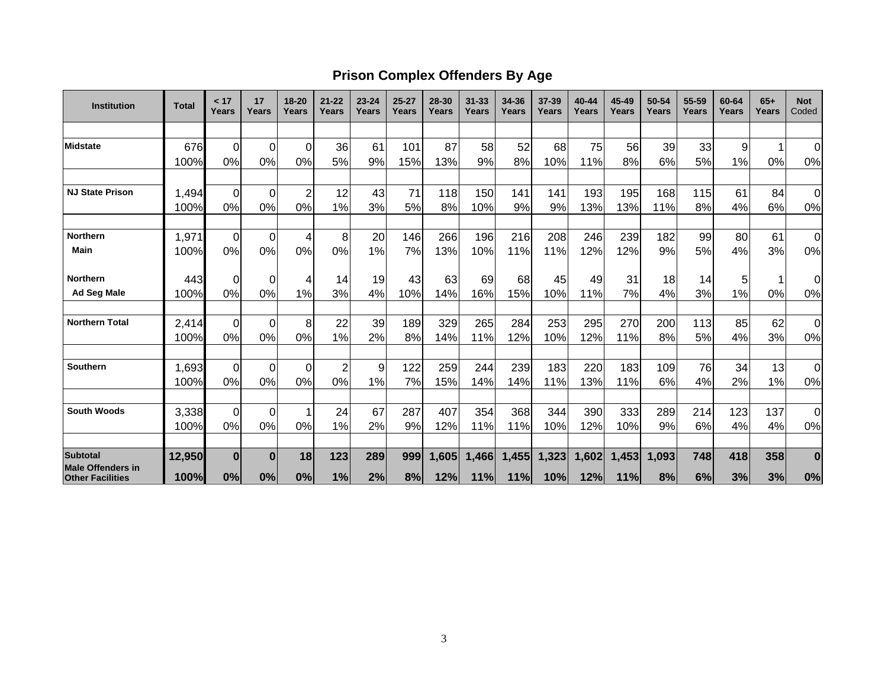## **Prison Complex Offenders By Age**

| <b>Institution</b>                                  | <b>Total</b> | < 17<br>Years  | 17<br>Years    | 18-20<br>Years | $21 - 22$<br>Years | $23 - 24$<br>Years | $25 - 27$<br>Years | 28-30<br>Years | $31 - 33$<br>Years | 34-36<br>Years | 37-39<br>Years | 40-44<br>Years | 45-49<br>Years | 50-54<br>Years | 55-59<br>Years | 60-64<br>Years | $65+$<br>Years | <b>Not</b><br>Coded |
|-----------------------------------------------------|--------------|----------------|----------------|----------------|--------------------|--------------------|--------------------|----------------|--------------------|----------------|----------------|----------------|----------------|----------------|----------------|----------------|----------------|---------------------|
|                                                     |              |                |                |                |                    |                    |                    |                |                    |                |                |                |                |                |                |                |                |                     |
| <b>Midstate</b>                                     | 676          | $\overline{0}$ | $\overline{0}$ | $\Omega$       | 36                 | 61                 | 101                | 87             | 58                 | 52             | 68             | 75             | 56             | 39             | 33             | 9              |                | 0                   |
|                                                     | 100%         | 0%             | 0%             | 0%             | 5%                 | 9%                 | 15%                | 13%            | 9%                 | 8%             | 10%            | 11%            | 8%             | 6%             | 5%             | 1%             | 0%             | 0%                  |
| <b>NJ State Prison</b>                              | 1,494        | $\Omega$       | $\mathbf 0$    | $\overline{2}$ | 12                 | 43                 | 71                 | 118            | 150                | 141            | 141            | 193            | 195            | 168            | 115            | 61             | 84             | $\mathbf 0$         |
|                                                     | 100%         | 0%             | 0%             | 0%             | 1%                 | 3%                 | 5%                 | 8%             | 10%                | 9%             | 9%             | 13%            | 13%            | 11%            | 8%             | 4%             | 6%             | 0%                  |
| <b>Northern</b>                                     | 1,971        | $\Omega$       | $\mathbf 0$    | $\overline{4}$ | 8                  | 20                 | 146                | 266            | 196                | 216            | 208            | 246            | 239            | 182            | 99             | 80             | 61             | $\mathbf 0$         |
| Main                                                | 100%         | 0%             | 0%             | 0%             | 0%                 | 1%                 | 7%                 | 13%            | 10%                | 11%            | 11%            | 12%            | 12%            | 9%             | 5%             | 4%             | 3%             | $0\%$               |
| <b>Northern</b>                                     | 443          | 0              | 0              | 4              | 14                 | 19                 | 43                 | 63             | 69                 | 68             | 45             | 49             | 31             | 18             | 14             | 5              |                | 0                   |
| <b>Ad Seg Male</b>                                  | 100%         | 0%             | 0%             | 1%             | 3%                 | 4%                 | 10%                | 14%            | 16%                | 15%            | 10%            | 11%            | 7%             | 4%             | 3%             | 1%             | 0%             | 0%                  |
| <b>Northern Total</b>                               | 2,414        | $\Omega$       | 0              | 8              | 22                 | 39                 | 189                | 329            | 265                | 284            | 253            | 295            | 270            | 200            | 113            | 85             | 62             | 0                   |
|                                                     | 100%         | 0%             | 0%             | 0%             | 1%                 | 2%                 | 8%                 | 14%            | 11%                | 12%            | 10%            | 12%            | 11%            | 8%             | 5%             | 4%             | 3%             | 0%                  |
| Southern                                            | 1,693        | $\Omega$       | $\Omega$       | $\Omega$       | 2                  | 9                  | 122                | 259            | 244                | 239            | 183            | 220            | 183            | 109            | 76             | 34             | 13             | 0                   |
|                                                     | 100%         | 0%             | 0%             | 0%             | 0%                 | 1%                 | 7%                 | 15%            | 14%                | 14%            | 11%            | 13%            | 11%            | 6%             | 4%             | 2%             | 1%             | 0%                  |
| <b>South Woods</b>                                  | 3,338        | $\Omega$       | $\Omega$       |                | 24                 | 67                 | 287                | 407            | 354                | 368            | 344            | 390            | 333            | 289            | 214            | 123            | 137            | 0                   |
|                                                     | 100%         | 0%             | 0%             | 0%             | 1%                 | 2%                 | 9%                 | 12%            | 11%                | 11%            | 10%            | 12%            | 10%            | 9%             | 6%             | 4%             | 4%             | $0\%$               |
| Subtotal                                            | 12,950       | $\bf{0}$       | $\bf{0}$       | 18             | 123                | 289                | 999                | 1,605          | 1,466              | 1,455          | 1,323          | 1,602          | 1,453          | 1,093          | 748            | 418            | 358            | $\bf{0}$            |
| <b>Male Offenders in</b><br><b>Other Facilities</b> | 100%         | 0%             | 0%             | 0%             | 1%                 | 2%                 | 8%                 | 12%            | 11%                | 11%            | 10%            | 12%            | 11%            | 8%             | 6%             | 3%             | 3%             | 0%                  |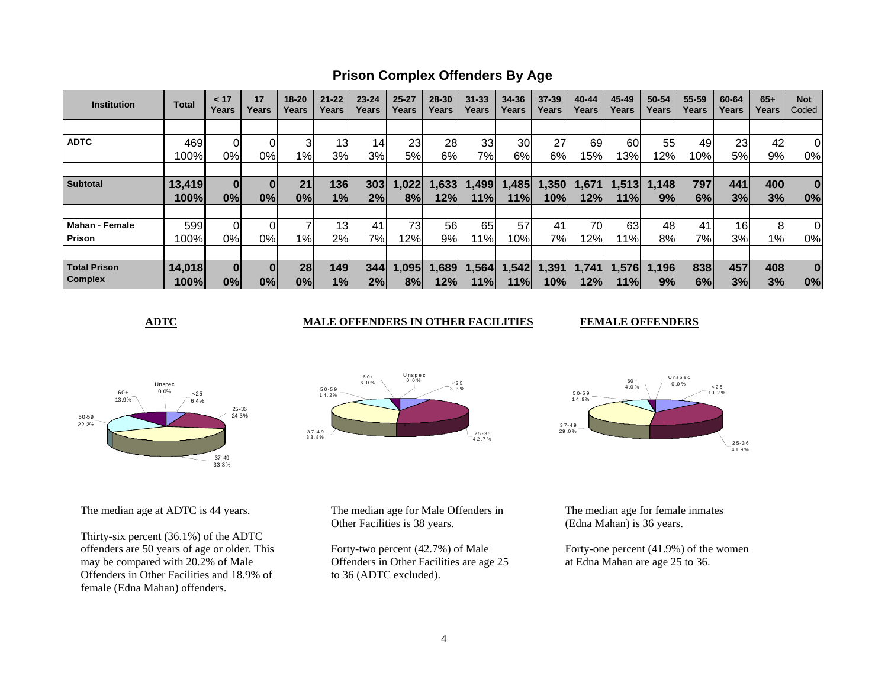**Prison Complex Offenders By Age**

| <b>Institution</b>  | <b>Total</b> | < 17<br>Years | 17<br>Years | $18 - 20$<br>Years | $21 - 22$<br>Years | $23 - 24$<br>Years | $25 - 27$<br>Years | 28-30<br>Years | $31 - 33$<br>Years | 34-36<br>Years | 37-39<br>Years | 40-44<br>Years | 45-49<br>Years | 50-54<br>Years | 55-59<br>Years | 60-64<br>Years  | $65+$<br>Years | <b>Not</b><br>Coded |
|---------------------|--------------|---------------|-------------|--------------------|--------------------|--------------------|--------------------|----------------|--------------------|----------------|----------------|----------------|----------------|----------------|----------------|-----------------|----------------|---------------------|
|                     |              |               |             |                    |                    |                    |                    |                |                    |                |                |                |                |                |                |                 |                |                     |
| <b>ADTC</b>         | 469          |               |             | 3                  | 13 <sup>1</sup>    | 14                 | 23                 | 28             | 33                 | 30             | 27             | 69             | 60             | 55             | 49             | 23              | 42             | 0                   |
|                     | 100%         | 0%            | 0%l         | $1\%$              | 3%                 | 3%                 | 5%                 | 6%             | 7%                 | 6%             | 6%             | 15%            | 13%            | 12%            | 10%            | 5%              | 9%             | 0%                  |
|                     |              |               |             |                    |                    |                    |                    |                |                    |                |                |                |                |                |                |                 |                |                     |
| <b>Subtotal</b>     | 13,419       | $\bf{0}$      |             | 21                 | 136                | 303                | 1,022              | 1,633          | 1,499              | 1,485          | 350, ا         | 1,671          | , 513          | 1,148          | 797            | 441             | 400            | $\bf{0}$            |
|                     | 100%         | 0%            | 0%          | 0%                 | 1%                 | 2%                 | 8%                 | 12%            | 11%                | 11%            | 10%            | 12%            | 11%l           | 9%             | 6%             | 3%              | 3%             | 0%                  |
|                     |              |               |             |                    |                    |                    |                    |                |                    |                |                |                |                |                |                |                 |                |                     |
| Mahan - Female      | 599          |               |             |                    | 13 <sup>l</sup>    | 41                 | 73                 | 56             | 65                 | 57             | 41             | 70             | 63             | 48             | 41             | 16 <sup>1</sup> | 8              | 0                   |
| Prison              | 100%         | 0%            | 0%l         | $1\%$              | 2%                 | 7%1                | 12%                | 9%             | 11%                | 10%l           | 7%             | 12%1           | 11%l           | 8%             | 7%             | 3%              | $1\%$          | 0%                  |
|                     |              |               |             |                    |                    |                    |                    |                |                    |                |                |                |                |                |                |                 |                |                     |
| <b>Total Prison</b> | 14,018       |               |             | 28                 | 149                | 344                | 1,095              | 1,689          | 1,564              | 1,542          | 1,391          | 1,741          | 1,576          | 1,196          | 838            | 457             | 408            | $\bf{0}$            |
| <b>Complex</b>      | 100%         | 0%            | 0%          | 0%                 | 1%                 | 2%                 | 8%                 | 12%            | 11%l               | 11%            | 10%            | 12%            | 11%            | 9%             | 6%             | 3%              | 3%             | 0%                  |

**ADTC** MALE OFFENDERS IN OTHER FACILITIES

**FEMALE OFFENDERS** 



The median age at ADTC is 44 years.

Thirty-six percent (36.1%) of the ADTC offenders are 50 years of age or older. This may be compared with 20.2% of Male Offenders in Other Facilities and 18.9% of female (Edna Mahan) offenders.





The median age for Male Offenders in Other Facilities is 38 years.

Forty-two percent (42.7%) of Male Offenders in Other Facilities are age 25 to 36 (ADTC excluded).

The median age for female inmates (Edna Mahan) is 36 years.

Forty-one percent (41.9%) of the women at Edna Mahan are age 25 to 36.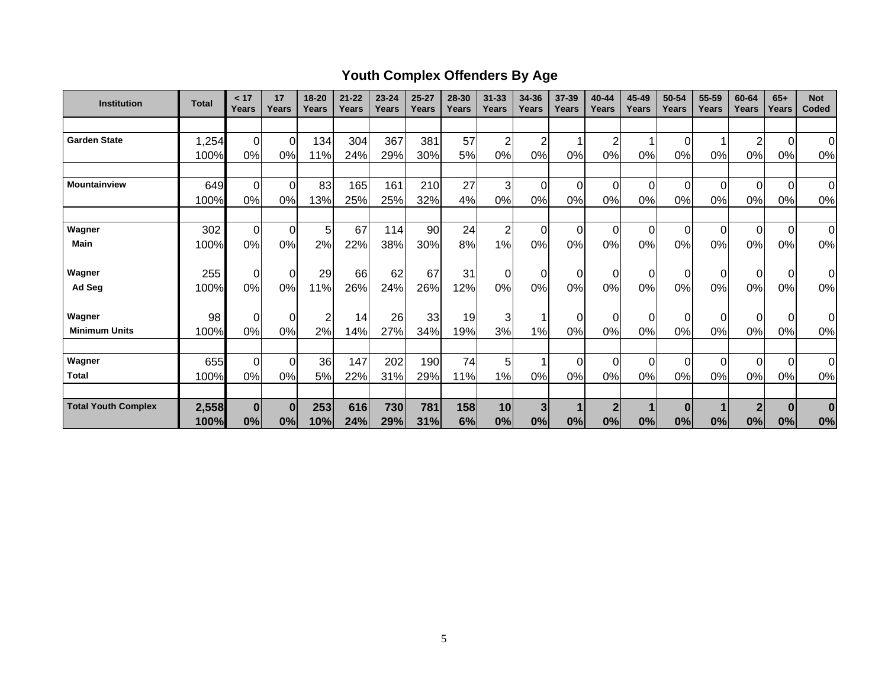# **Youth Complex Offenders By Age**

| <b>Institution</b>         | <b>Total</b> | < 17<br>Years  | 17<br>Years    | 18-20<br>Years | $21 - 22$<br>Years | $23 - 24$<br>Years | $25 - 27$<br>Years | 28-30<br>Years | $31 - 33$<br>Years | 34-36<br>Years | 37-39<br>Years | 40-44<br>Years | 45-49<br>Years | 50-54<br>Years | 55-59<br>Years | 60-64<br>Years | $65+$<br>Years   | <b>Not</b><br>Coded |
|----------------------------|--------------|----------------|----------------|----------------|--------------------|--------------------|--------------------|----------------|--------------------|----------------|----------------|----------------|----------------|----------------|----------------|----------------|------------------|---------------------|
|                            |              |                |                |                |                    |                    |                    |                |                    |                |                |                |                |                |                |                |                  |                     |
| <b>Garden State</b>        | 1,254        | $\overline{0}$ | $\overline{0}$ | 134            | 304                | 367                | 381                | 57             | 2                  | $\overline{c}$ |                | $\overline{2}$ |                | 0              |                | $\overline{2}$ | $\mathbf 0$      | $\overline{0}$      |
|                            | 100%         | 0%             | 0%             | 11%            | 24%                | 29%                | 30%                | 5%             | 0%                 | 0%             | 0%             | 0%             | 0%             | 0%             | $0\%$          | 0%             | 0%               | 0%                  |
|                            |              |                |                |                |                    |                    |                    |                |                    |                |                |                |                |                |                |                |                  |                     |
| <b>Mountainview</b>        | 649          | $\mathbf 0$    | $\overline{0}$ | 83             | 165                | 161                | 210                | 27             | 3                  | $\mathbf 0$    | $\Omega$       | $\Omega$       | $\Omega$       | 0              | $\Omega$       | $\Omega$       | $\mathbf 0$      | $\overline{0}$      |
|                            | 100%         | 0%             | 0%             | 13%            | 25%                | 25%                | 32%                | 4%             | 0%                 | 0%             | 0%             | 0%             | 0%             | 0%             | 0%             | 0%             | 0%               | 0%                  |
|                            |              |                |                |                |                    |                    |                    |                |                    |                |                |                |                |                |                |                |                  |                     |
| Wagner                     | 302          | $\mathbf 0$    | $\overline{0}$ | 5              | 67                 | 114                | 90                 | 24             | $\overline{c}$     | $\mathbf 0$    | $\Omega$       | $\Omega$       | $\Omega$       | $\mathbf 0$    | $\Omega$       | $\Omega$       | $\overline{0}$   | 0                   |
| <b>Main</b>                | 100%         | 0%             | 0%             | 2%             | 22%                | 38%                | 30%                | 8%             | 1%                 | 0%             | 0%             | 0%             | 0%             | 0%             | 0%             | 0%             | 0%               | 0%                  |
|                            |              |                |                |                |                    |                    |                    |                |                    |                |                |                |                |                |                |                |                  |                     |
| Wagner                     | 255          | $\mathbf 0$    | $\overline{0}$ | 29             | 66                 | 62                 | 67                 | 31             | 0                  | $\overline{0}$ | 0              | 0              | $\mathbf 0$    | 0              |                | 0              | $\overline{0}$   | 0l                  |
| Ad Seg                     | 100%         | 0%             | 0%             | 11%            | 26%                | 24%                | 26%                | 12%            | 0%                 | 0%             | 0%             | 0%             | 0%             | 0%             | 0%             | 0%             | 0%               | 0%                  |
| Wagner                     | 98           | $\mathbf 0$    | $\overline{0}$ | $\overline{2}$ | 14                 | 26                 | 33                 | 19             | 3                  | 1              | $\Omega$       | 0              | $\Omega$       | 0              |                | $\Omega$       | $\overline{0}$   | $\overline{0}$      |
| <b>Minimum Units</b>       | 100%         | 0%             | 0%             | 2%             | 14%                | 27%                | 34%                | 19%            | 3%                 | 1%             | 0%             | 0%             | 0%             | 0%             | 0%             | 0%             | 0%               | 0%                  |
|                            |              |                |                |                |                    |                    |                    |                |                    |                |                |                |                |                |                |                |                  |                     |
| Wagner                     | 655          | $\mathbf 0$    | $\overline{0}$ | 36             | 147                | 202                | 190                | 74             | 5                  | 1              | 0              | $\Omega$       | $\Omega$       | 0              | $\Omega$       | $\Omega$       | $\overline{0}$   | $\overline{0}$      |
| <b>Total</b>               | 100%         | 0%             | 0%             | 5%             | 22%                | 31%                | 29%                | 11%            | 1%                 | 0%             | 0%             | 0%             | 0%             | 0%             | 0%             | 0%             | 0%               | 0%                  |
|                            |              |                |                |                |                    |                    |                    |                |                    |                |                |                |                |                |                |                |                  |                     |
| <b>Total Youth Complex</b> | 2,558        | 0              | $\bf{0}$       | 253            | 616                | 730                | 781                | 158            | 10                 | 3              |                | $\mathbf{2}$   |                | $\bf{0}$       |                |                | $\boldsymbol{0}$ | $\bf{0}$            |
|                            | 100%         | 0%             | 0%             | 10%            | 24%                | 29%                | 31%                | 6%             | 0%                 | 0%             | 0%             | 0%             | 0%             | 0%             | 0%             | 0%             | 0%               | 0%                  |